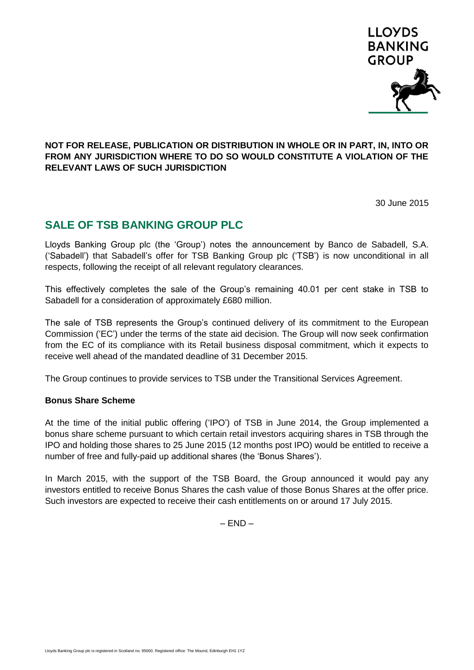

## **NOT FOR RELEASE, PUBLICATION OR DISTRIBUTION IN WHOLE OR IN PART, IN, INTO OR FROM ANY JURISDICTION WHERE TO DO SO WOULD CONSTITUTE A VIOLATION OF THE RELEVANT LAWS OF SUCH JURISDICTION**

30 June 2015

## **SALE OF TSB BANKING GROUP PLC**

Lloyds Banking Group plc (the 'Group') notes the announcement by Banco de Sabadell, S.A. ('Sabadell') that Sabadell's offer for TSB Banking Group plc ('TSB') is now unconditional in all respects, following the receipt of all relevant regulatory clearances.

This effectively completes the sale of the Group's remaining 40.01 per cent stake in TSB to Sabadell for a consideration of approximately £680 million.

The sale of TSB represents the Group's continued delivery of its commitment to the European Commission ('EC') under the terms of the state aid decision. The Group will now seek confirmation from the EC of its compliance with its Retail business disposal commitment, which it expects to receive well ahead of the mandated deadline of 31 December 2015.

The Group continues to provide services to TSB under the Transitional Services Agreement.

## **Bonus Share Scheme**

At the time of the initial public offering ('IPO') of TSB in June 2014, the Group implemented a bonus share scheme pursuant to which certain retail investors acquiring shares in TSB through the IPO and holding those shares to 25 June 2015 (12 months post IPO) would be entitled to receive a number of free and fully-paid up additional shares (the 'Bonus Shares').

In March 2015, with the support of the TSB Board, the Group announced it would pay any investors entitled to receive Bonus Shares the cash value of those Bonus Shares at the offer price. Such investors are expected to receive their cash entitlements on or around 17 July 2015.

 $-$  FND  $-$